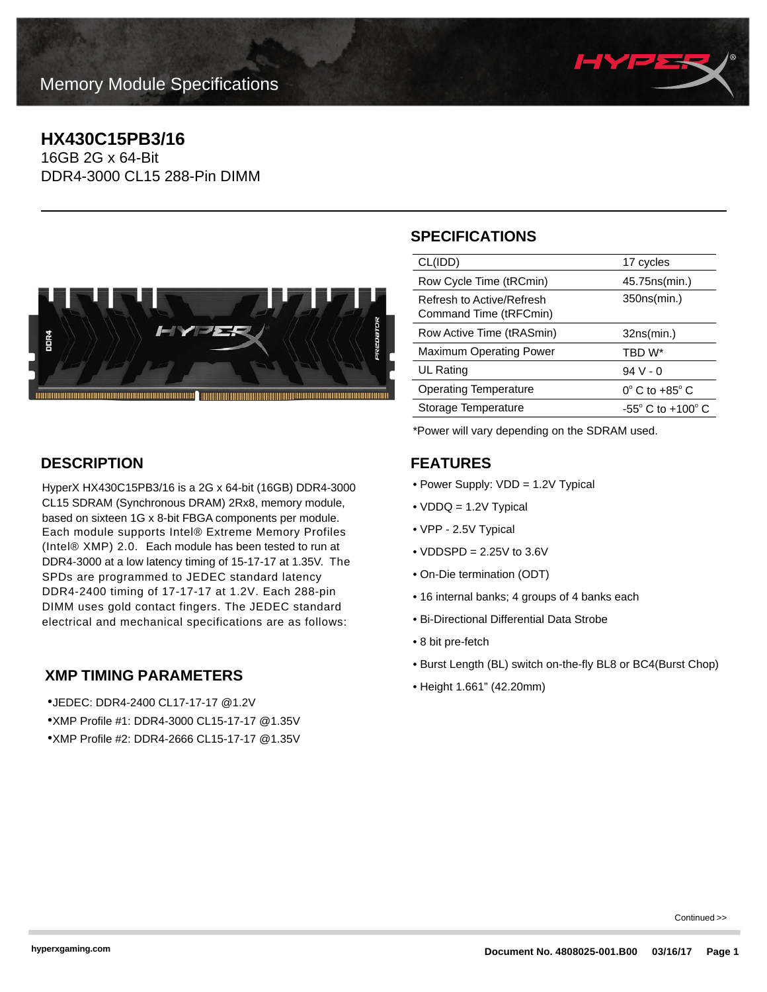

### **HX430C15PB3/16**

16GB 2G x 64-Bit DDR4-3000 CL15 288-Pin DIMM



#### **DESCRIPTION**

HyperX HX430C15PB3/16 is a 2G x 64-bit (16GB) DDR4-3000 CL15 SDRAM (Synchronous DRAM) 2Rx8, memory module, based on sixteen 1G x 8-bit FBGA components per module. Each module supports Intel® Extreme Memory Profiles (Intel® XMP) 2.0. Each module has been tested to run at DDR4-3000 at a low latency timing of 15-17-17 at 1.35V. The SPDs are programmed to JEDEC standard latency DDR4-2400 timing of 17-17-17 at 1.2V. Each 288-pin DIMM uses gold contact fingers. The JEDEC standard electrical and mechanical specifications are as follows:

#### **XMP TIMING PARAMETERS**

•JEDEC: DDR4-2400 CL17-17-17 @1.2V •XMP Profile #1: DDR4-3000 CL15-17-17 @1.35V •XMP Profile #2: DDR4-2666 CL15-17-17 @1.35V

## **SPECIFICATIONS**

| CL(IDD)                                             | 17 cycles                           |
|-----------------------------------------------------|-------------------------------------|
| Row Cycle Time (tRCmin)                             | 45.75 ns (min.)                     |
| Refresh to Active/Refresh<br>Command Time (tRFCmin) | 350ns(min.)                         |
| Row Active Time (tRASmin)                           | 32ns(min.)                          |
| <b>Maximum Operating Power</b>                      | TBD W*                              |
| UL Rating                                           | $94V - 0$                           |
| <b>Operating Temperature</b>                        | $0^\circ$ C to +85 $^\circ$ C       |
| Storage Temperature                                 | $-55^{\circ}$ C to $+100^{\circ}$ C |
|                                                     |                                     |

\*Power will vary depending on the SDRAM used.

#### **FEATURES**

- Power Supply: VDD = 1.2V Typical
- VDDQ = 1.2V Typical
- VPP 2.5V Typical
- VDDSPD = 2.25V to 3.6V
- On-Die termination (ODT)
- 16 internal banks; 4 groups of 4 banks each
- Bi-Directional Differential Data Strobe
- 8 bit pre-fetch
- Burst Length (BL) switch on-the-fly BL8 or BC4(Burst Chop)
- Height 1.661" (42.20mm)

Continued >>